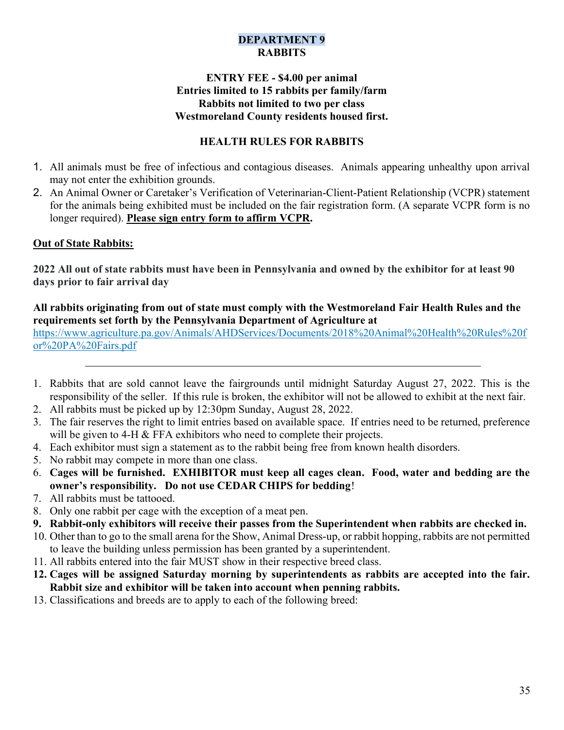## DEPARTMENT 9 **RABBITS**

#### ENTRY FEE - \$4.00 per animal Entries limited to 15 rabbits per family/farm Rabbits not limited to two per class Westmoreland County residents housed first.

# HEALTH RULES FOR RABBITS

- 1. All animals must be free of infectious and contagious diseases. Animals appearing unhealthy upon arrival may not enter the exhibition grounds.
- 2. An Animal Owner or Caretaker's Verification of Veterinarian-Client-Patient Relationship (VCPR) statement for the animals being exhibited must be included on the fair registration form. (A separate VCPR form is no longer required). Please sign entry form to affirm VCPR.

#### Out of State Rabbits:

2022 All out of state rabbits must have been in Pennsylvania and owned by the exhibitor for at least 90 days prior to fair arrival day

#### All rabbits originating from out of state must comply with the Westmoreland Fair Health Rules and the requirements set forth by the Pennsylvania Department of Agriculture at

https://www.agriculture.pa.gov/Animals/AHDServices/Documents/2018%20Animal%20Health%20Rules%20f or%20PA%20Fairs.pdf

- 1. Rabbits that are sold cannot leave the fairgrounds until midnight Saturday August 27, 2022. This is the responsibility of the seller. If this rule is broken, the exhibitor will not be allowed to exhibit at the next fair.
- 2. All rabbits must be picked up by 12:30pm Sunday, August 28, 2022.
- 3. The fair reserves the right to limit entries based on available space. If entries need to be returned, preference will be given to 4-H & FFA exhibitors who need to complete their projects.
- 4. Each exhibitor must sign a statement as to the rabbit being free from known health disorders.
- 5. No rabbit may compete in more than one class.
- 6. Cages will be furnished. EXHIBITOR must keep all cages clean. Food, water and bedding are the owner's responsibility. Do not use CEDAR CHIPS for bedding!
- 7. All rabbits must be tattooed.
- 8. Only one rabbit per cage with the exception of a meat pen.
- 9. Rabbit-only exhibitors will receive their passes from the Superintendent when rabbits are checked in.
- 10. Other than to go to the small arena for the Show, Animal Dress-up, or rabbit hopping, rabbits are not permitted to leave the building unless permission has been granted by a superintendent.
- 11. All rabbits entered into the fair MUST show in their respective breed class.
- 12. Cages will be assigned Saturday morning by superintendents as rabbits are accepted into the fair. Rabbit size and exhibitor will be taken into account when penning rabbits.
- 13. Classifications and breeds are to apply to each of the following breed: